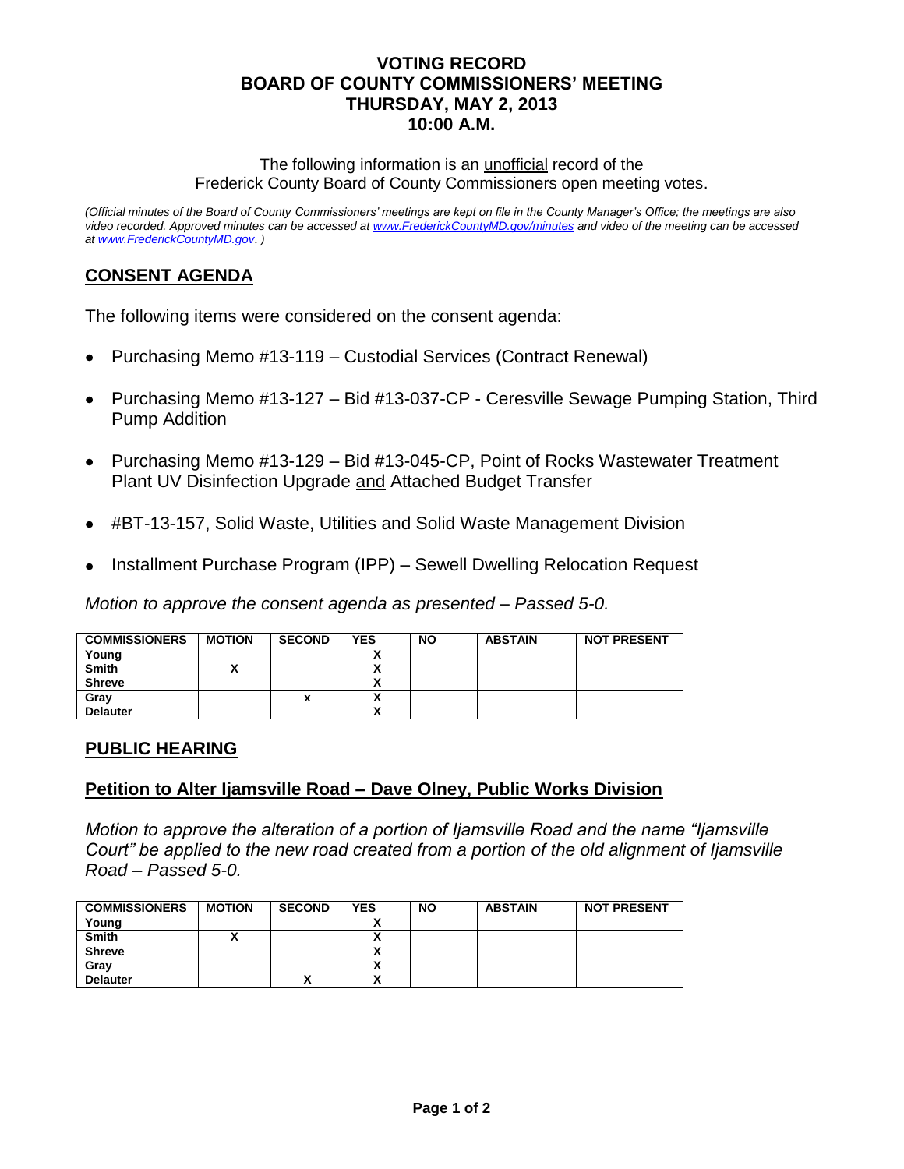## **VOTING RECORD BOARD OF COUNTY COMMISSIONERS' MEETING THURSDAY, MAY 2, 2013 10:00 A.M.**

The following information is an unofficial record of the Frederick County Board of County Commissioners open meeting votes.

*(Official minutes of the Board of County Commissioners' meetings are kept on file in the County Manager's Office; the meetings are also video recorded. Approved minutes can be accessed at [www.FrederickCountyMD.gov/minutes](http://www.frederickcountymd.gov/minutes) and video of the meeting can be accessed a[t www.FrederickCountyMD.gov](http://www.frederickcountymd.gov/)*. *)*

# **CONSENT AGENDA**

The following items were considered on the consent agenda:

- Purchasing Memo #13-119 Custodial Services (Contract Renewal)  $\bullet$
- Purchasing Memo #13-127 Bid #13-037-CP Ceresville Sewage Pumping Station, Third Pump Addition
- Purchasing Memo #13-129 Bid #13-045-CP, Point of Rocks Wastewater Treatment Plant UV Disinfection Upgrade and Attached Budget Transfer
- #BT-13-157, Solid Waste, Utilities and Solid Waste Management Division
- Installment Purchase Program (IPP) Sewell Dwelling Relocation Request

*Motion to approve the consent agenda as presented – Passed 5-0.*

| <b>COMMISSIONERS</b> | <b>MOTION</b> | <b>SECOND</b> | YES                       | <b>NO</b> | <b>ABSTAIN</b> | <b>NOT PRESENT</b> |
|----------------------|---------------|---------------|---------------------------|-----------|----------------|--------------------|
| Young                |               |               |                           |           |                |                    |
| <b>Smith</b>         |               |               |                           |           |                |                    |
| <b>Shreve</b>        |               |               |                           |           |                |                    |
| Gray                 |               |               |                           |           |                |                    |
| <b>Delauter</b>      |               |               | $\ddot{\phantom{0}}$<br>^ |           |                |                    |

### **PUBLIC HEARING**

### **Petition to Alter Ijamsville Road – Dave Olney, Public Works Division**

*Motion to approve the alteration of a portion of Ijamsville Road and the name "Ijamsville Court" be applied to the new road created from a portion of the old alignment of Ijamsville Road – Passed 5-0.*

| <b>COMMISSIONERS</b> | <b>MOTION</b> | <b>SECOND</b> | <b>YES</b>   | <b>NO</b> | <b>ABSTAIN</b> | <b>NOT PRESENT</b> |
|----------------------|---------------|---------------|--------------|-----------|----------------|--------------------|
| Young                |               |               |              |           |                |                    |
| <b>Smith</b>         |               |               | ~            |           |                |                    |
| <b>Shreve</b>        |               |               |              |           |                |                    |
| Gray                 |               |               | ~            |           |                |                    |
| <b>Delauter</b>      |               | "             | $\mathbf{v}$ |           |                |                    |